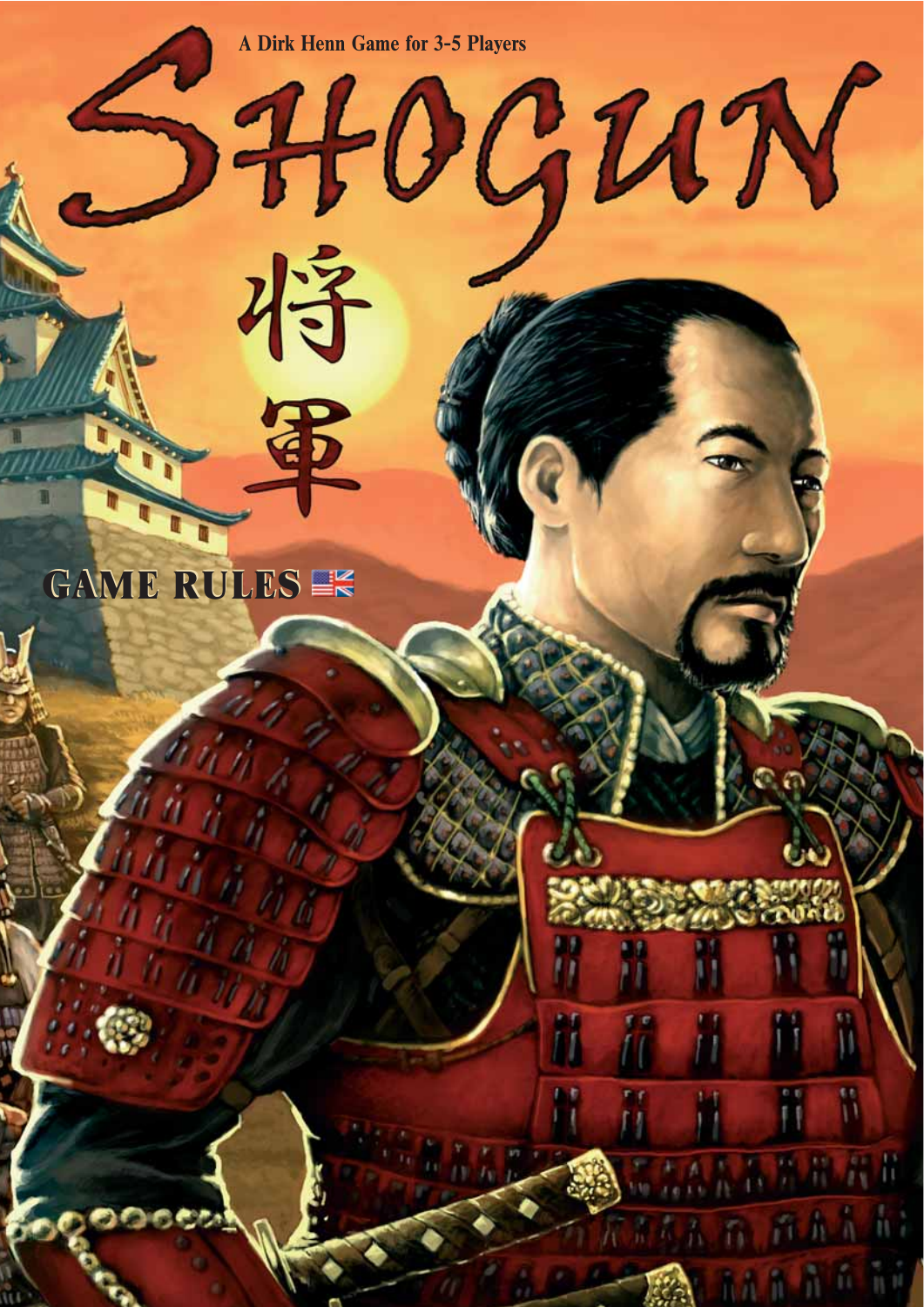**A Dirk Henn Game for 3-5 Players**

将軍

 $340GUT$ 

# **GAME RULES GAME RULES**

 $\overline{\phantom{a}}$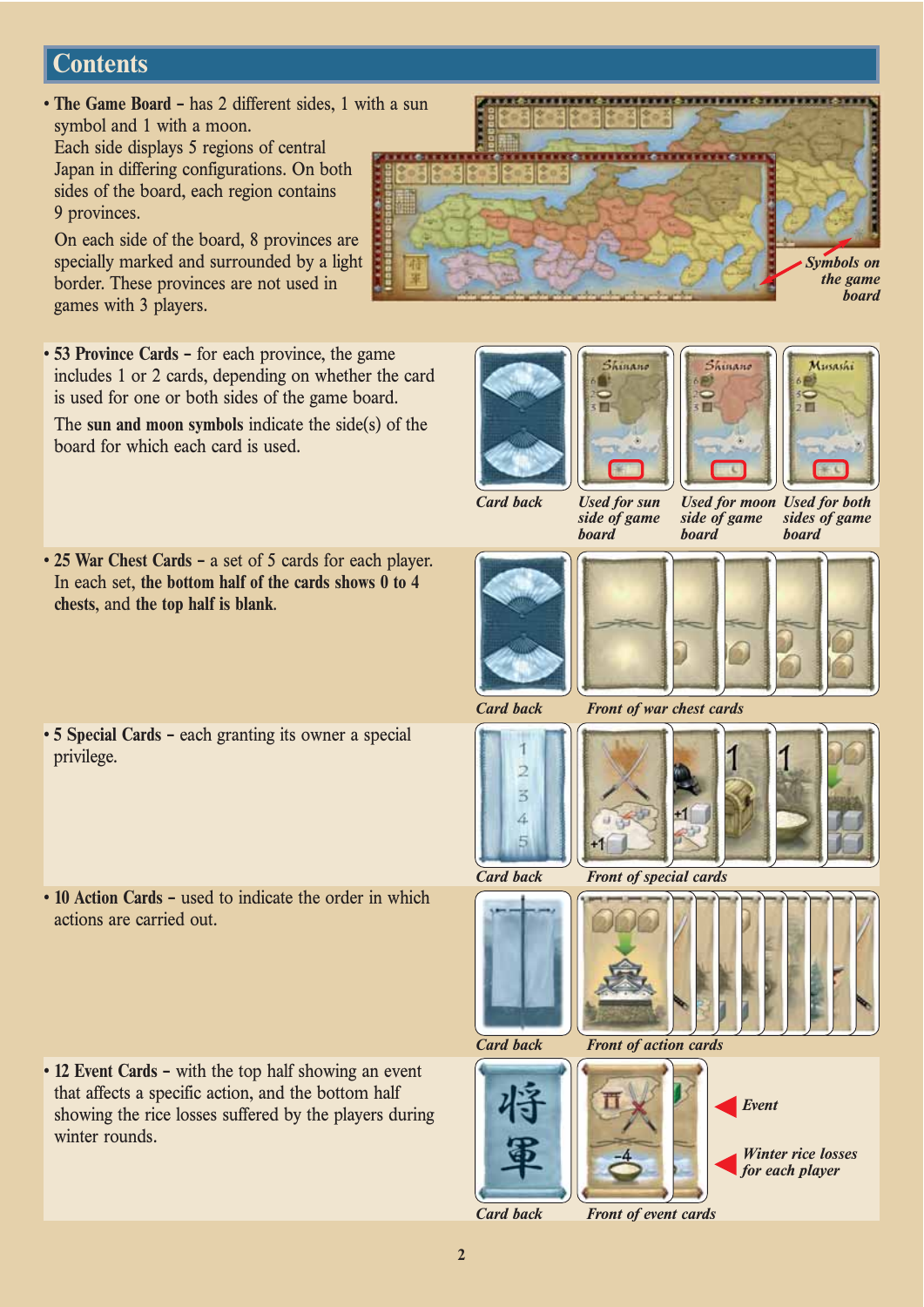# **Contents**

**• The Game Board –** has 2 different sides, 1 with a sun symbol and 1 with a moon. Each side displays 5 regions of central

Japan in differing configurations. On both sides of the board, each region contains 9 provinces.

On each side of the board, 8 provinces are specially marked and surrounded by a light border. These provinces are not used in games with 3 players.

**• 53 Province Cards –** for each province, the game includes 1 or 2 cards, depending on whether the card is used for one or both sides of the game board.

The **sun and moon symbols** indicate the side(s) of the board for which each card is used.

- **25 War Chest Cards –** a set of 5 cards for each player. In each set, **the bottom half of the cards shows 0 to 4 chests**, and **the top half is blank**.
- **5 Special Cards –** each granting its owner a special privilege.
- **10 Action Cards –** used to indicate the order in which actions are carried out.













*Card back*

*Used for sun side of game board*

*Used for moon Used for both side of game*

*sides of game board*





*board*





*Card back Front of war chest cards*







*Card back Front of special cards*





*Card back Front of event cards*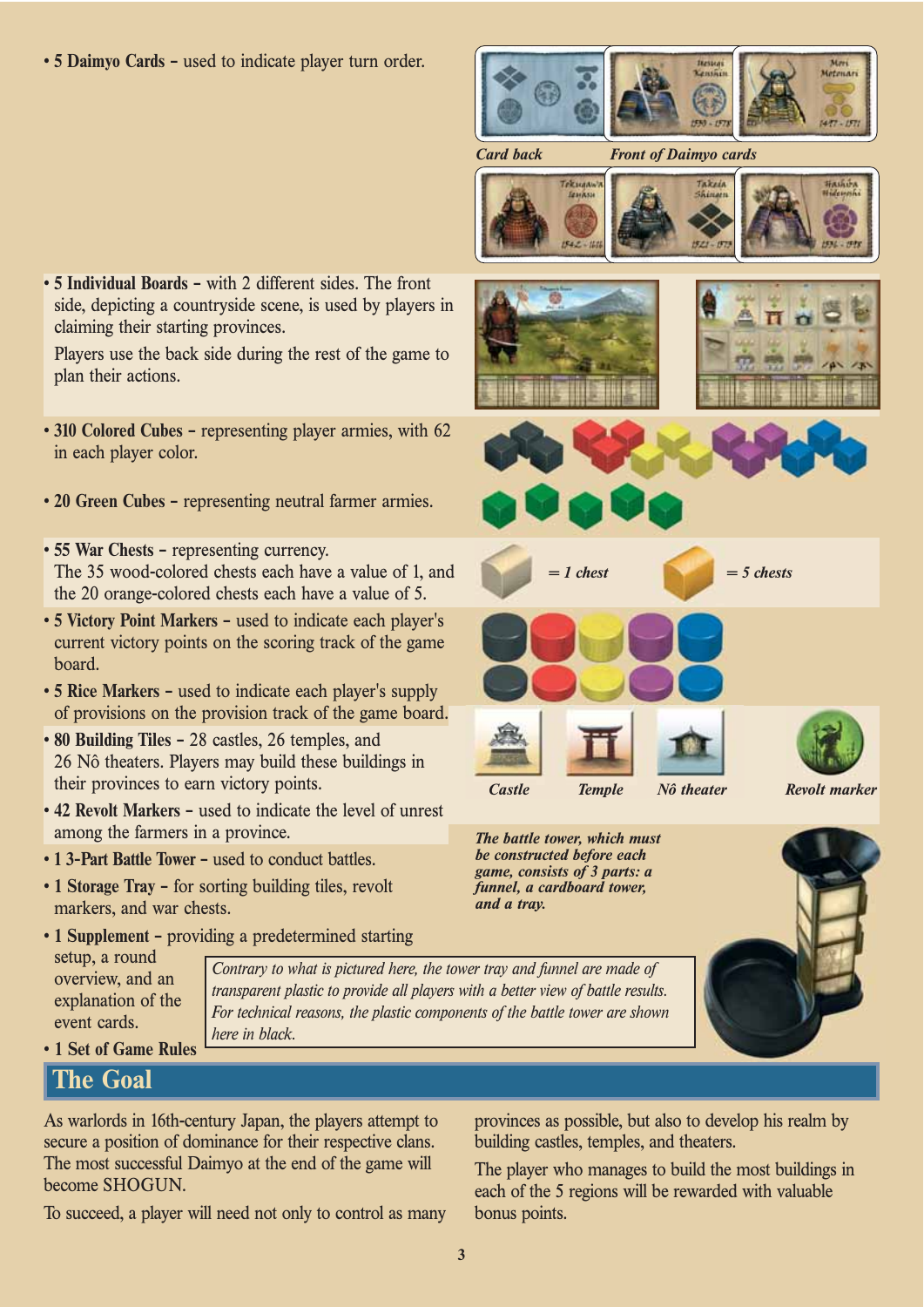**• 5 Daimyo Cards –** used to indicate player turn order.



*Card back Front of Daimyo cards*









*Castle Temple Nô theater Revolt marker*

*The battle tower, which must be constructed before each game, consists of 3 parts: a funnel, a cardboard tower, and a tray.*



**• 5 Individual Boards –** with 2 different sides. The front side, depicting a countryside scene, is used by players in claiming their starting provinces.

Players use the back side during the rest of the game to plan their actions.

- **310 Colored Cubes –** representing player armies, with 62 in each player color.
- **20 Green Cubes –** representing neutral farmer armies.
- **55 War Chests –** representing currency. The 35 wood-colored chests each have a value of 1, and the 20 orange-colored chests each have a value of 5.
- **5 Victory Point Markers –** used to indicate each player's current victory points on the scoring track of the game board.
- **5 Rice Markers –** used to indicate each player's supply of provisions on the provision track of the game board.
- **80 Building Tiles –** 28 castles, 26 temples, and 26 Nô theaters. Players may build these buildings in their provinces to earn victory points.
- **42 Revolt Markers –** used to indicate the level of unrest among the farmers in a province.
- **1 3-Part Battle Tower –** used to conduct battles.
- **1 Storage Tray –** for sorting building tiles, revolt markers, and war chests.
- **1 Supplement** providing a predetermined starting

setup, a round overview, and an explanation of the event cards.

*Contrary to what is pictured here, the tower tray and funnel are made of transparent plastic to provide all players with a better view of battle results. For technical reasons, the plastic components of the battle tower are shown here in black.*

• **1 Set of Game Rules**

# **The Goal**

As warlords in 16th-century Japan, the players attempt to secure a position of dominance for their respective clans. The most successful Daimyo at the end of the game will become SHOGUN.

To succeed, a player will need not only to control as many

provinces as possible, but also to develop his realm by building castles, temples, and theaters.

The player who manages to build the most buildings in each of the 5 regions will be rewarded with valuable bonus points.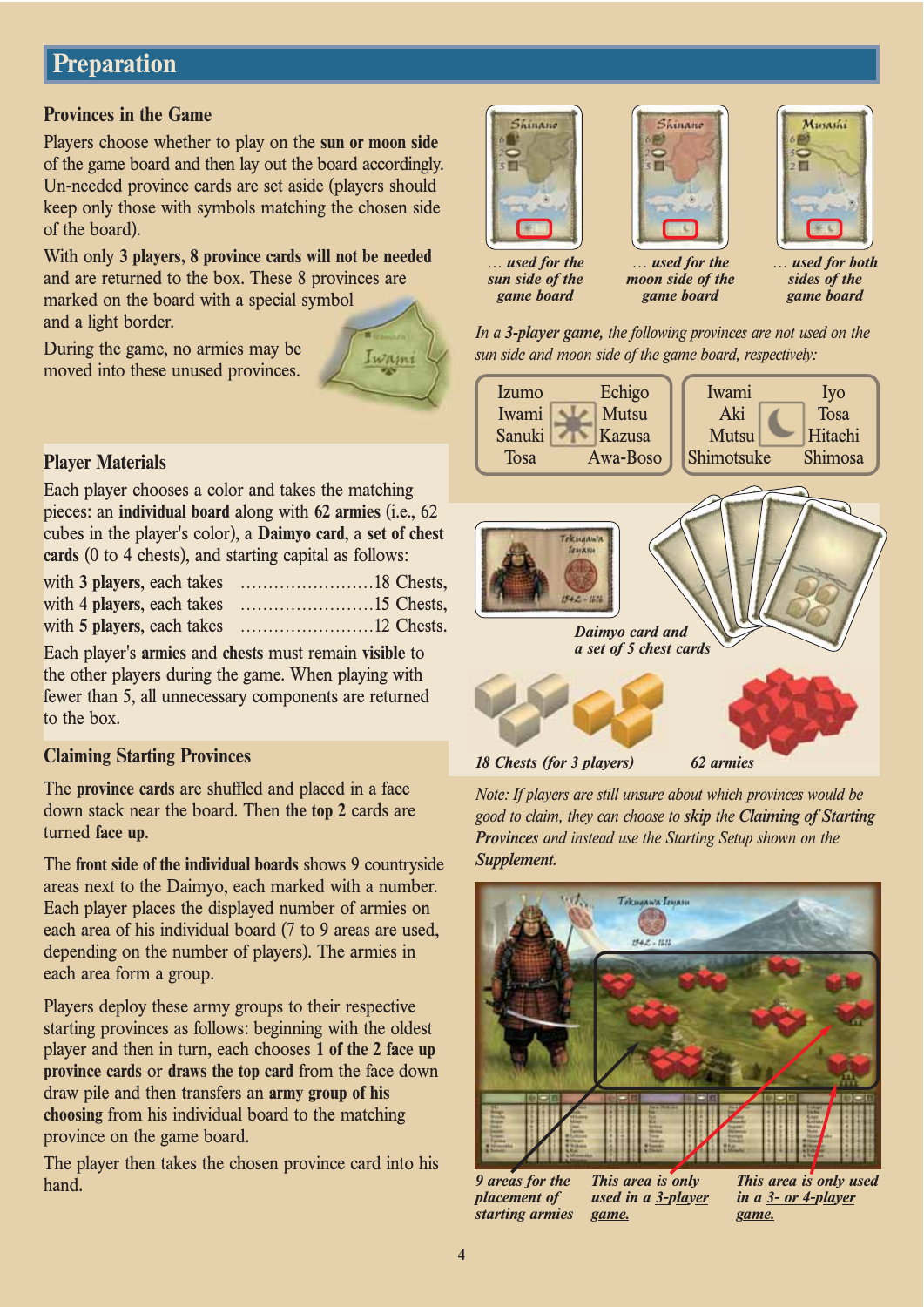# **Preparation**

## **Provinces in the Game**

Players choose whether to play on the **sun or moon side** of the game board and then lay out the board accordingly. Un-needed province cards are set aside (players should keep only those with symbols matching the chosen side of the board).

With only **3 players, 8 province cards will not be needed** and are returned to the box. These 8 provinces are marked on the board with a special symbol and a light border.

During the game, no armies may be moved into these unused provinces.



# **Player Materials**

Each player chooses a color and takes the matching pieces: an **individual board** along with **62 armies** (i.e., 62 cubes in the player's color), a **Daimyo card**, a **set of chest cards** (0 to 4 chests), and starting capital as follows:

Each player's **armies** and **chests** must remain **visible** to the other players during the game. When playing with fewer than 5, all unnecessary components are returned to the box.

# **Claiming Starting Provinces**

The **province cards** are shuffled and placed in a face down stack near the board. Then **the top 2** cards are turned **face up**.

The **front side of the individual boards** shows 9 countryside areas next to the Daimyo, each marked with a number. Each player places the displayed number of armies on each area of his individual board (7 to 9 areas are used, depending on the number of players). The armies in each area form a group.

Players deploy these army groups to their respective starting provinces as follows: beginning with the oldest player and then in turn, each chooses **1 of the 2 face up province cards** or **draws the top card** from the face down draw pile and then transfers an **army group of his choosing** from his individual board to the matching province on the game board.

The player then takes the chosen province card into his hand.







*… used for the sun side of the game board*

*moon side of the game board*

*… used for both sides of the game board*

*In a 3-player game, the following provinces are not used on the sun side and moon side of the game board, respectively:*





*Note: If players are still unsure about which provinces would be good to claim, they can choose to skip the Claiming of Starting Provinces and instead use the Starting Setup shown on the Supplement.*



*This area is only used in a 3-player game. 9 areas for the placement of starting armies*

*This area is only used in a 3- or 4-player game.*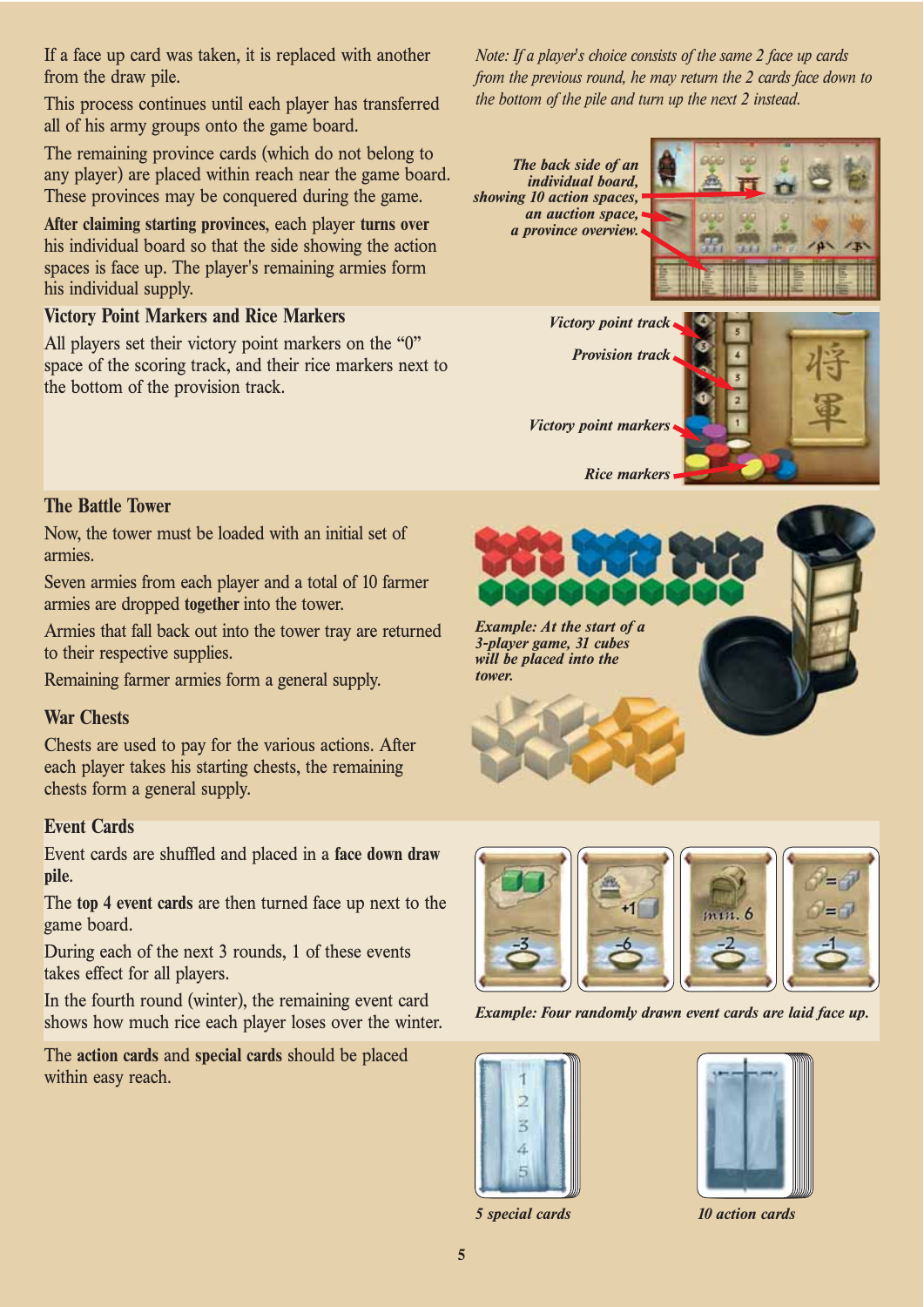If a face up card was taken, it is replaced with another from the draw pile.

This process continues until each player has transferred all of his army groups onto the game board.

The remaining province cards (which do not belong to any player) are placed within reach near the game board. These provinces may be conquered during the game.

**After claiming starting provinces**, each player **turns over** his individual board so that the side showing the action spaces is face up. The player's remaining armies form his individual supply.

# **Victory Point Markers and Rice Markers**

All players set their victory point markers on the "0" space of the scoring track, and their rice markers next to the bottom of the provision track.

*Note: If a player's choice consists of the same 2 face up cards from the previous round, he may return the 2 cards face down to the bottom of the pile and turn up the next 2 instead.*

*The back side of an individual board, showing 10 action spaces, an auction space, a province overview.*





**The Battle Tower**

Now, the tower must be loaded with an initial set of armies.

Seven armies from each player and a total of 10 farmer armies are dropped **together** into the tower.

Armies that fall back out into the tower tray are returned to their respective supplies.

Remaining farmer armies form a general supply.

#### **War Chests**

Chests are used to pay for the various actions. After each player takes his starting chests, the remaining chests form a general supply.

# **Event Cards**

Event cards are shuffled and placed in a **face down draw pile**.

The **top 4 event cards** are then turned face up next to the game board.

During each of the next 3 rounds, 1 of these events takes effect for all players.

In the fourth round (winter), the remaining event card shows how much rice each player loses over the winter.

The **action cards** and **special cards** should be placed within easy reach.





*Example: Four randomly drawn event cards are laid face up.*



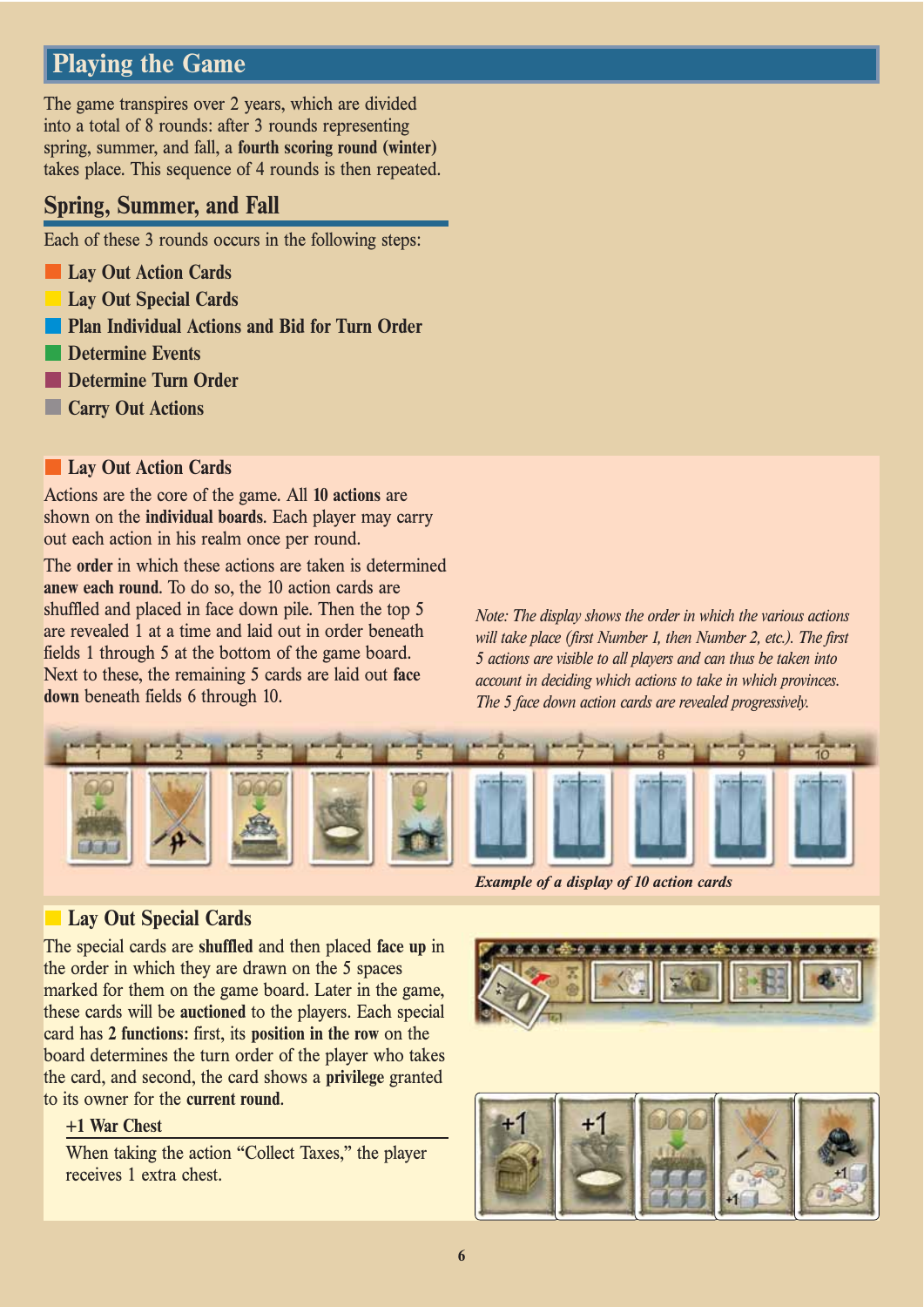# **Playing the Game**

The game transpires over 2 years, which are divided into a total of 8 rounds: after 3 rounds representing spring, summer, and fall, a **fourth scoring round (winter)** takes place. This sequence of 4 rounds is then repeated.

# **Spring, Summer, and Fall**

Each of these 3 rounds occurs in the following steps:

- **Lay Out Action Cards**
- **Lay Out Special Cards**
- **Plan Individual Actions and Bid for Turn Order**
- **Determine Events**
- **Determine Turn Order**
- **Carry Out Actions**

#### **Lay Out Action Cards**

Actions are the core of the game. All **10 actions** are shown on the **individual boards**. Each player may carry out each action in his realm once per round.

The **order** in which these actions are taken is determined **anew each round**. To do so, the 10 action cards are shuffled and placed in face down pile. Then the top 5 are revealed 1 at a time and laid out in order beneath fields 1 through 5 at the bottom of the game board. Next to these, the remaining 5 cards are laid out **face down** beneath fields 6 through 10.

*Note: The display shows the order in which the various actions will take place (first Number 1, then Number 2, etc.). The first 5 actions are visible to all players and can thus be taken into account in deciding which actions to take in which provinces. The 5 face down action cards are revealed progressively.*



*Example of a display of 10 action cards*

# **Lay Out Special Cards**

The special cards are **shuffled** and then placed **face up** in the order in which they are drawn on the 5 spaces marked for them on the game board. Later in the game, these cards will be **auctioned** to the players. Each special card has **2 functions:** first, its **position in the row** on the board determines the turn order of the player who takes the card, and second, the card shows a **privilege** granted to its owner for the **current round**.

#### **+1 War Chest**

When taking the action "Collect Taxes," the player receives 1 extra chest.

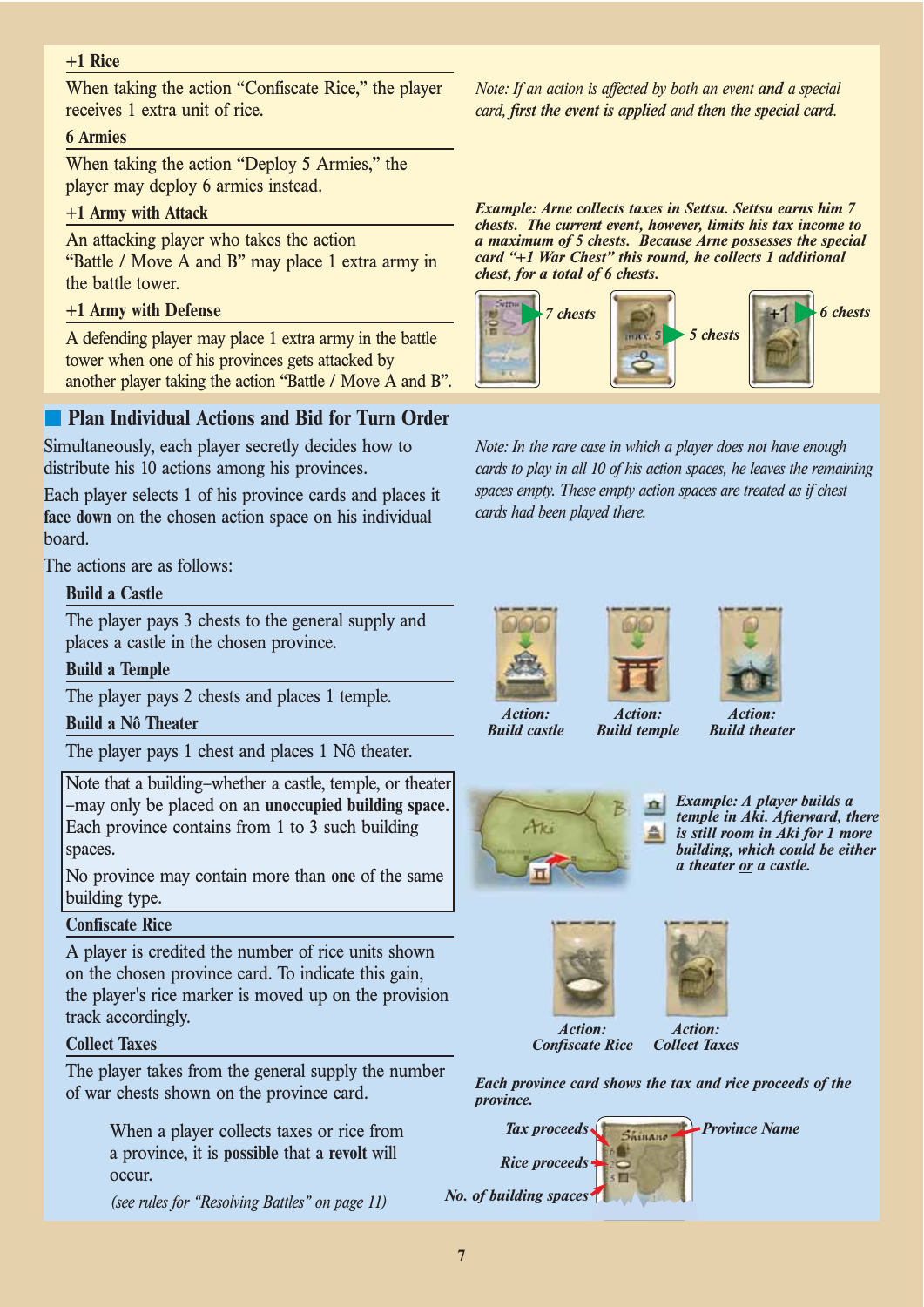## **+1 Rice**

When taking the action "Confiscate Rice," the player receives 1 extra unit of rice.

#### **6 Armies**

When taking the action "Deploy 5 Armies," the player may deploy 6 armies instead.

#### **+1 Army with Attack**

An attacking player who takes the action "Battle / Move A and B" may place 1 extra army in the battle tower.

#### **+1 Army with Defense**

A defending player may place 1 extra army in the battle tower when one of his provinces gets attacked by another player taking the action "Battle / Move A and B".

# **Plan Individual Actions and Bid for Turn Order**

Simultaneously, each player secretly decides how to distribute his 10 actions among his provinces.

Each player selects 1 of his province cards and places it **face down** on the chosen action space on his individual board.

The actions are as follows:

#### **Build a Castle**

The player pays 3 chests to the general supply and places a castle in the chosen province.

#### **Build a Temple**

The player pays 2 chests and places 1 temple.

#### **Build a Nô Theater**

The player pays 1 chest and places 1 Nô theater.

Note that a building–whether a castle, temple, or theater –may only be placed on an **unoccupied building space.** Each province contains from 1 to 3 such building spaces.

No province may contain more than **one** of the same building type.

#### **Confiscate Rice**

A player is credited the number of rice units shown on the chosen province card. To indicate this gain, the player's rice marker is moved up on the provision track accordingly.

#### **Collect Taxes**

The player takes from the general supply the number of war chests shown on the province card.

> When a player collects taxes or rice from a province, it is **possible** that a **revolt** will occur.

*(see rules for "Resolving Battles" on page 11)*

*Note: If an action is affected by both an event and a special card, first the event is applied and then the special card.*

*Example: Arne collects taxes in Settsu. Settsu earns him 7 chests. The current event, however, limits his tax income to a maximum of 5 chests. Because Arne possesses the special card "+1 War Chest" this round, he collects 1 additional chest, for a total of 6 chests.*



*Note: In the rare case in which a player does not have enough cards to play in all 10 of his action spaces, he leaves the remaining spaces empty. These empty action spaces are treated as if chest cards had been played there.*

> *Action: Build temple*



*Build castle*



*ction: Build theater*



*Example: A player builds a temple in Aki. Afterward, there is still room in Aki for 1 more building, which could be either a theater or a castle.*





*Confiscate Rice*

*Each province card shows the tax and rice proceeds of the province.*

*Tax proceeds Shinane* Province Name *Rice proceeds No. of building spaces*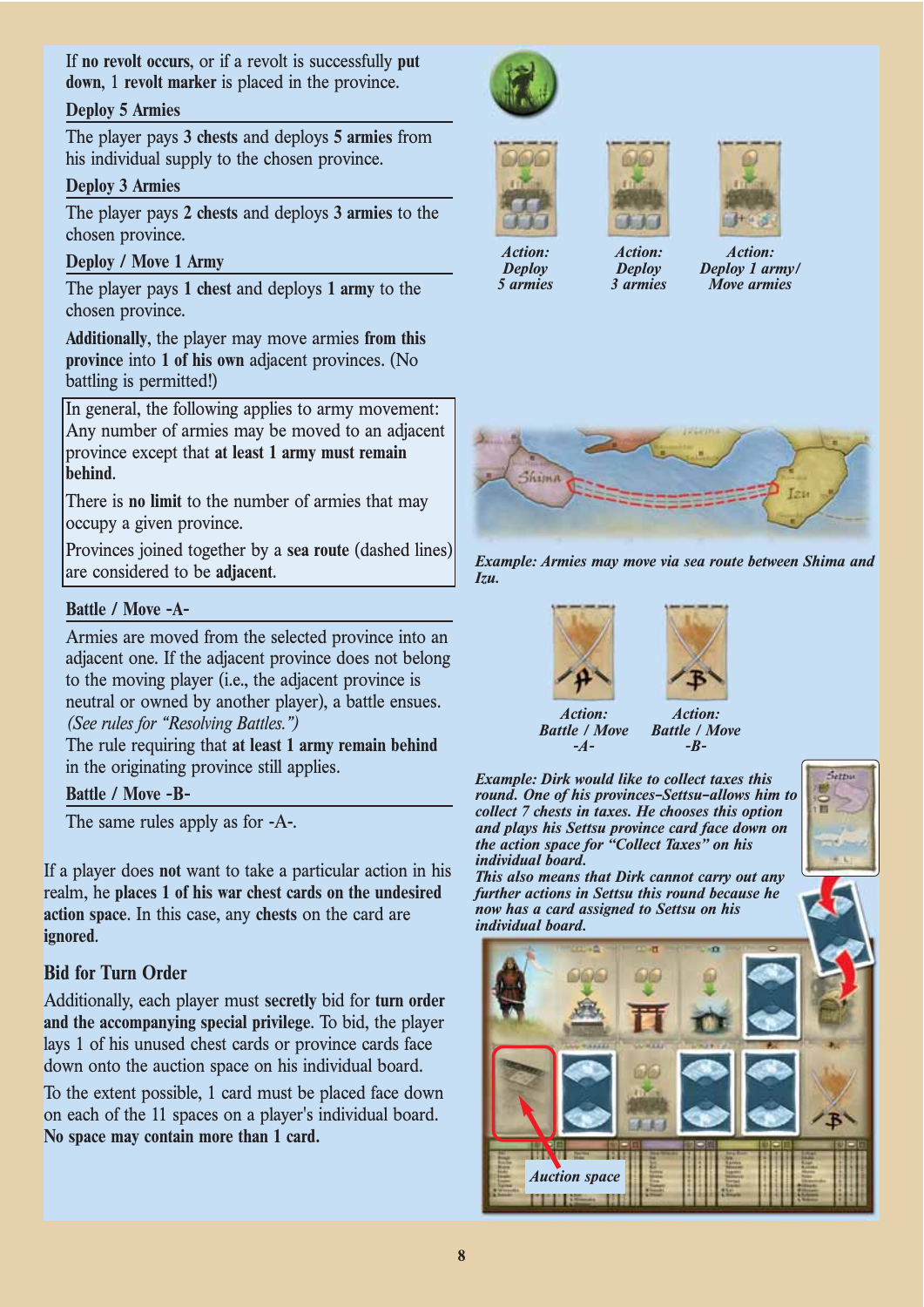If **no revolt occurs**, or if a revolt is successfully **put down**, 1 **revolt marker** is placed in the province.

#### **Deploy 5 Armies**

The player pays **3 chests** and deploys **5 armies** from his individual supply to the chosen province.

## **Deploy 3 Armies**

The player pays **2 chests** and deploys **3 armies** to the chosen province.

## **Deploy / Move 1 Army**

The player pays **1 chest** and deploys **1 army** to the chosen province.

**Additionally**, the player may move armies **from this province** into **1 of his own** adjacent provinces. (No battling is permitted!)

In general, the following applies to army movement: Any number of armies may be moved to an adjacent province except that **at least 1 army must remain behind**.

There is **no limit** to the number of armies that may occupy a given province.

Provinces joined together by a **sea route** (dashed lines) are considered to be **adjacent**.

#### **Battle / Move -A-**

Armies are moved from the selected province into an adjacent one. If the adjacent province does not belong to the moving player (i.e., the adjacent province is neutral or owned by another player), a battle ensues. *(See rules for "Resolving Battles.")*

The rule requiring that **at least 1 army remain behind** in the originating province still applies.

#### **Battle / Move -B-**

The same rules apply as for -A-.

If a player does **not** want to take a particular action in his realm, he **places 1 of his war chest cards on the undesired action space**. In this case, any **chests** on the card are **ignored**.

# **Bid for Turn Order**

Additionally, each player must **secretly** bid for **turn order and the accompanying special privilege**. To bid, the player lays 1 of his unused chest cards or province cards face down onto the auction space on his individual board.

To the extent possible, 1 card must be placed face down on each of the 11 spaces on a player's individual board. **No space may contain more than 1 card.**





*Deploy 5 armies*



*Action: Deploy 3 armies*



*Action: Deploy 1 army/ Move armies*









*-B-*

*Battle / Move Battle / Move -A-*

*Example: Dirk would like to collect taxes this round. One of his provinces–Settsu–allows him to collect 7 chests in taxes. He chooses this option and plays his Settsu province card face down on the action space for "Collect Taxes" on his individual board.*



*This also means that Dirk cannot carry out any further actions in Settsu this round because he now has a card assigned to Settsu on his individual board.*



**8**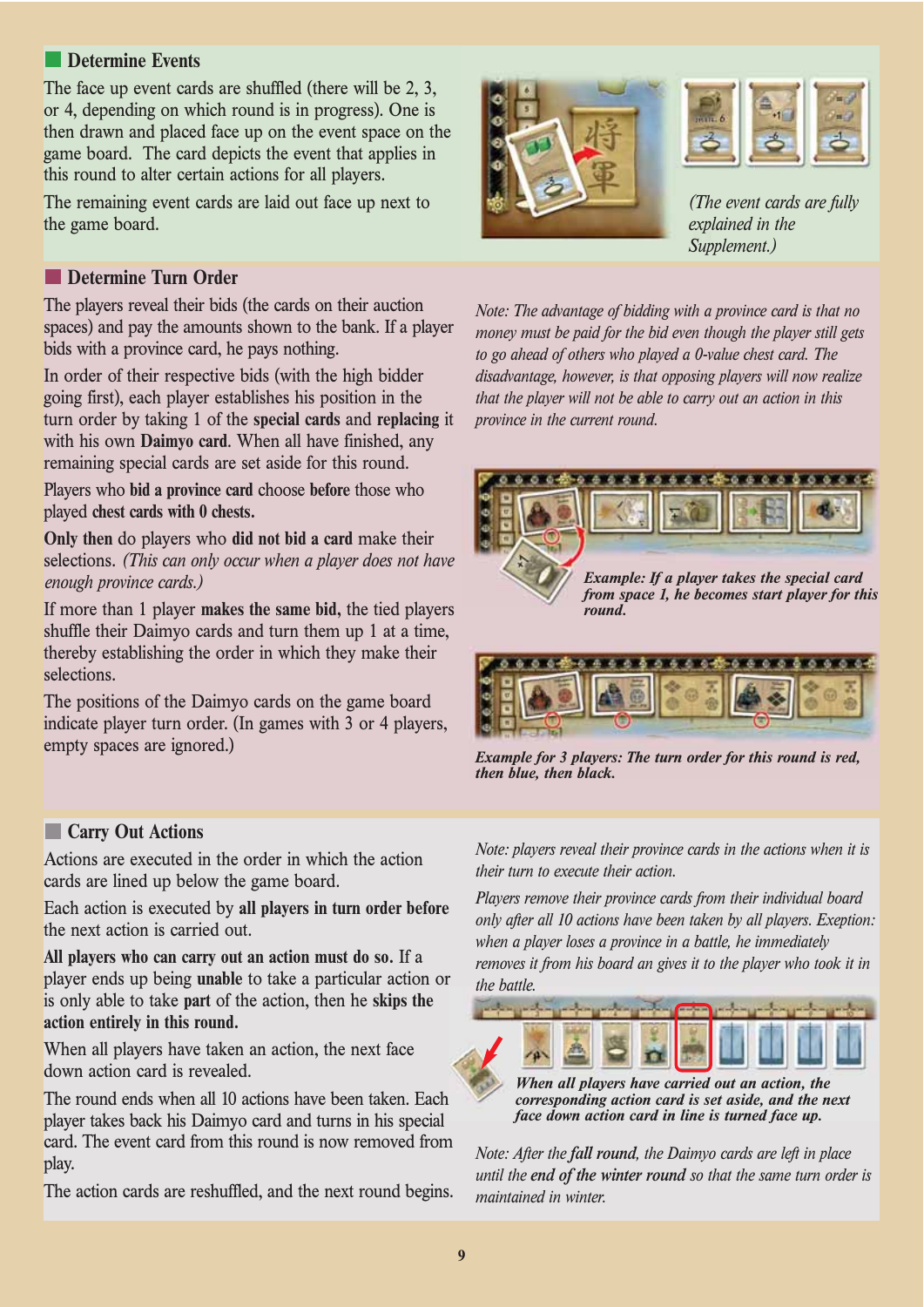# **Determine Events**

The face up event cards are shuffled (there will be 2, 3, or 4, depending on which round is in progress). One is then drawn and placed face up on the event space on the game board. The card depicts the event that applies in this round to alter certain actions for all players.

The remaining event cards are laid out face up next to the game board.

# **Determine Turn Order**

The players reveal their bids (the cards on their auction spaces) and pay the amounts shown to the bank. If a player bids with a province card, he pays nothing.

In order of their respective bids (with the high bidder going first), each player establishes his position in the turn order by taking 1 of the **special cards** and **replacing** it with his own **Daimyo card**. When all have finished, any remaining special cards are set aside for this round.

Players who **bid a province card** choose **before** those who played **chest cards with 0 chests.**

**Only then** do players who **did not bid a card** make their selections. *(This can only occur when a player does not have enough province cards.)*

If more than 1 player **makes the same bid,** the tied players shuffle their Daimyo cards and turn them up 1 at a time, thereby establishing the order in which they make their selections.

The positions of the Daimyo cards on the game board indicate player turn order. (In games with 3 or 4 players, empty spaces are ignored.)

# **Carry Out Actions**

Actions are executed in the order in which the action cards are lined up below the game board.

Each action is executed by **all players in turn order before** the next action is carried out.

**All players who can carry out an action must do so.** If a player ends up being **unable** to take a particular action or is only able to take **part** of the action, then he **skips the action entirely in this round.**

When all players have taken an action, the next face down action card is revealed.

The round ends when all 10 actions have been taken. Each player takes back his Daimyo card and turns in his special card. The event card from this round is now removed from play.

The action cards are reshuffled, and the next round begins.





*(The event cards are fully explained in the Supplement.)*

*Note: The advantage of bidding with a province card is that no money must be paid for the bid even though the player still gets to go ahead of others who played a 0-value chest card. The disadvantage, however, is that opposing players will now realize that the player will not be able to carry out an action in this province in the current round.*



*from space 1, he becomes start player for this round.*



*Example for 3 players: The turn order for this round is red, then blue, then black.*

*Note: players reveal their province cards in the actions when it is their turn to execute their action.*

*Players remove their province cards from their individual board only after all 10 actions have been taken by all players. Exeption: when a player loses a province in a battle, he immediately removes it from his board an gives it to the player who took it in the battle.*



*When all players have carried out an action, the corresponding action card is set aside, and the next face down action card in line is turned face up.*

*Note: After the fall round, the Daimyo cards are left in place until the end of the winter round so that the same turn order is maintained in winter.*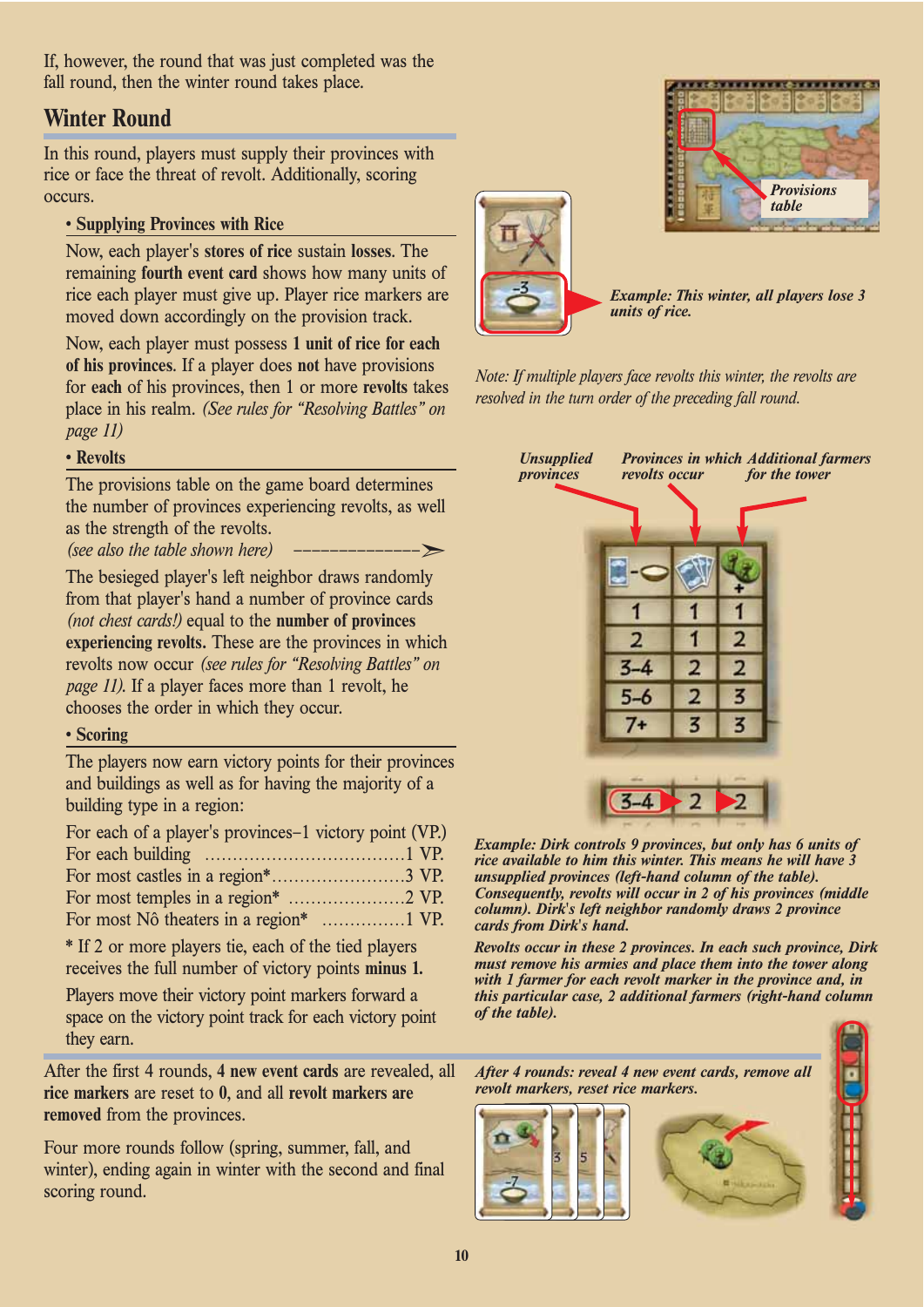If, however, the round that was just completed was the fall round, then the winter round takes place.

# **Winter Round**

In this round, players must supply their provinces with rice or face the threat of revolt. Additionally, scoring occurs.

# **• Supplying Provinces with Rice**

Now, each player's **stores of rice** sustain **losses**. The remaining **fourth event card** shows how many units of rice each player must give up. Player rice markers are moved down accordingly on the provision track.

Now, each player must possess **1 unit of rice for each of his provinces**. If a player does **not** have provisions for **each** of his provinces, then 1 or more **revolts** takes place in his realm. *(See rules for "Resolving Battles" on page 11)*

# **• Revolts**

The provisions table on the game board determines the number of provinces experiencing revolts, as well as the strength of the revolts.

*(see also the table shown here)* 

The besieged player's left neighbor draws randomly from that player's hand a number of province cards *(not chest cards!)* equal to the **number of provinces experiencing revolts.** These are the provinces in which revolts now occur *(see rules for "Resolving Battles" on page 11)*. If a player faces more than 1 revolt, he chooses the order in which they occur.

#### **• Scoring**

The players now earn victory points for their provinces and buildings as well as for having the majority of a building type in a region:

| For each of a player's provinces–1 victory point (VP.) |  |
|--------------------------------------------------------|--|
|                                                        |  |
|                                                        |  |
|                                                        |  |
|                                                        |  |

\* If 2 or more players tie, each of the tied players receives the full number of victory points **minus 1.**

Players move their victory point markers forward a space on the victory point track for each victory point they earn.

After the first 4 rounds, **4 new event cards** are revealed, all **rice markers** are reset to **0**, and all **revolt markers are removed** from the provinces.

Four more rounds follow (spring, summer, fall, and winter), ending again in winter with the second and final scoring round.





*Example: This winter, all players lose 3 units of rice.*

*Note: If multiple players face revolts this winter, the revolts are resolved in the turn order of the preceding fall round.*

| $3 - 4$ |  |   |  |
|---------|--|---|--|
| $5 - 6$ |  |   |  |
|         |  | 3 |  |

*Example: Dirk controls 9 provinces, but only has 6 units of rice available to him this winter. This means he will have 3 unsupplied provinces (left-hand column of the table). Consequently, revolts will occur in 2 of his provinces (middle column). Dirk's left neighbor randomly draws 2 province cards from Dirk's hand.*

*Revolts occur in these 2 provinces. In each such province, Dirk must remove his armies and place them into the tower along with 1 farmer for each revolt marker in the province and, in this particular case, 2 additional farmers (right-hand column of the table).*

*After 4 rounds: reveal 4 new event cards, remove all revolt markers, reset rice markers.*





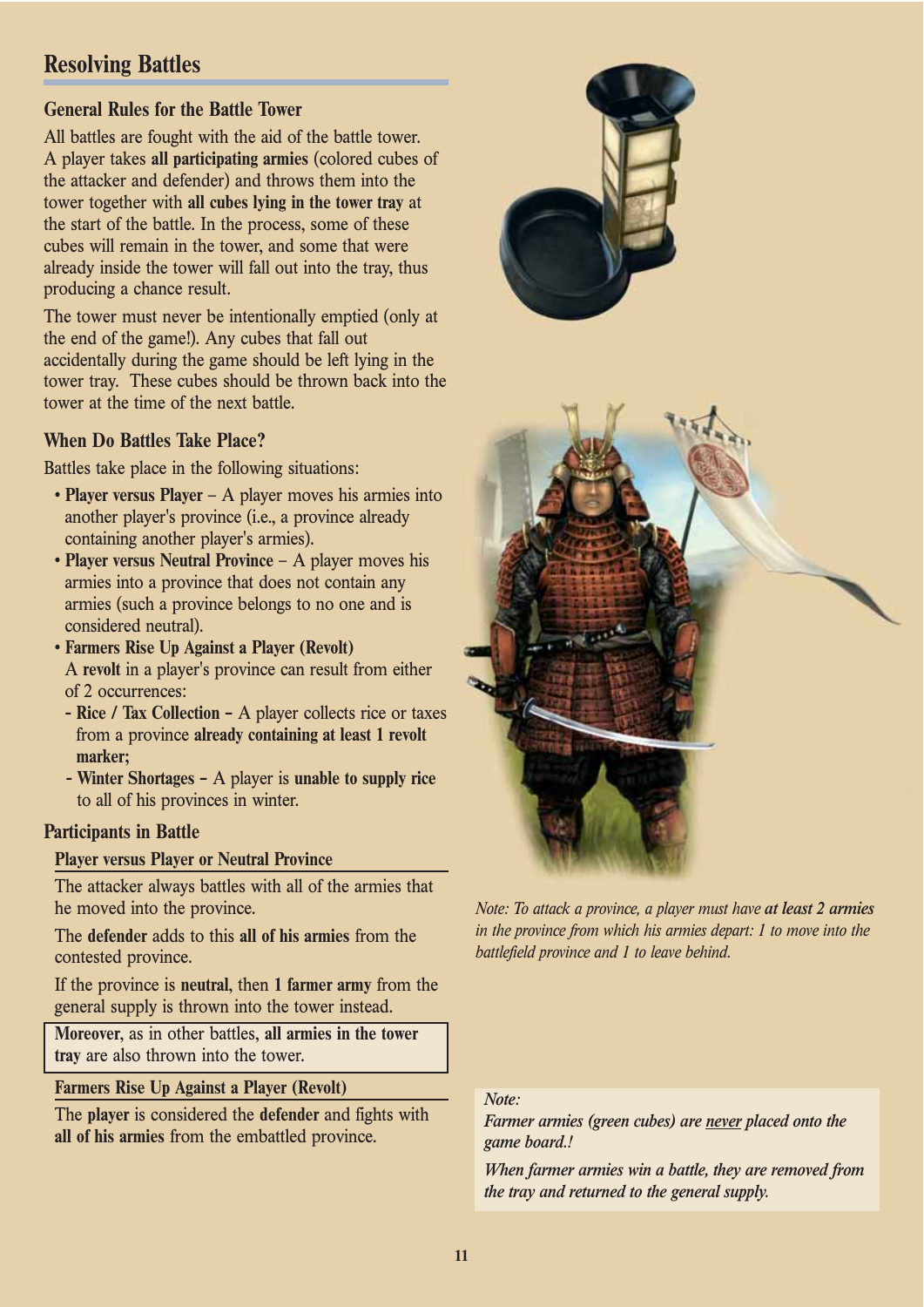# **Resolving Battles**

# **General Rules for the Battle Tower**

All battles are fought with the aid of the battle tower. A player takes **all participating armies** (colored cubes of the attacker and defender) and throws them into the tower together with **all cubes lying in the tower tray** at the start of the battle. In the process, some of these cubes will remain in the tower, and some that were already inside the tower will fall out into the tray, thus producing a chance result.

The tower must never be intentionally emptied (only at the end of the game!). Any cubes that fall out accidentally during the game should be left lying in the tower tray. These cubes should be thrown back into the tower at the time of the next battle.

# **When Do Battles Take Place?**

Battles take place in the following situations:

- **Player versus Player**  A player moves his armies into another player's province (i.e., a province already containing another player's armies).
- **Player versus Neutral Province**  A player moves his armies into a province that does not contain any armies (such a province belongs to no one and is considered neutral).
- **Farmers Rise Up Against a Player (Revolt)**  A **revolt** in a player's province can result from either of 2 occurrences:
	- **Rice / Tax Collection –** A player collects rice or taxes from a province **already containing at least 1 revolt marker;**
	- **Winter Shortages –** A player is **unable to supply rice** to all of his provinces in winter.

# **Participants in Battle**

# **Player versus Player or Neutral Province**

The attacker always battles with all of the armies that he moved into the province.

The **defender** adds to this **all of his armies** from the contested province.

If the province is **neutral**, then **1 farmer army** from the general supply is thrown into the tower instead.

**Moreover**, as in other battles, **all armies in the tower tray** are also thrown into the tower.

# **Farmers Rise Up Against a Player (Revolt)**

The **player** is considered the **defender** and fights with **all of his armies** from the embattled province.



*Note: To attack a province, a player must have at least 2 armies in the province from which his armies depart: 1 to move into the battlefield province and 1 to leave behind.* 

#### *Note:*

*Farmer armies (green cubes) are never placed onto the game board.!*

*When farmer armies win a battle, they are removed from the tray and returned to the general supply.*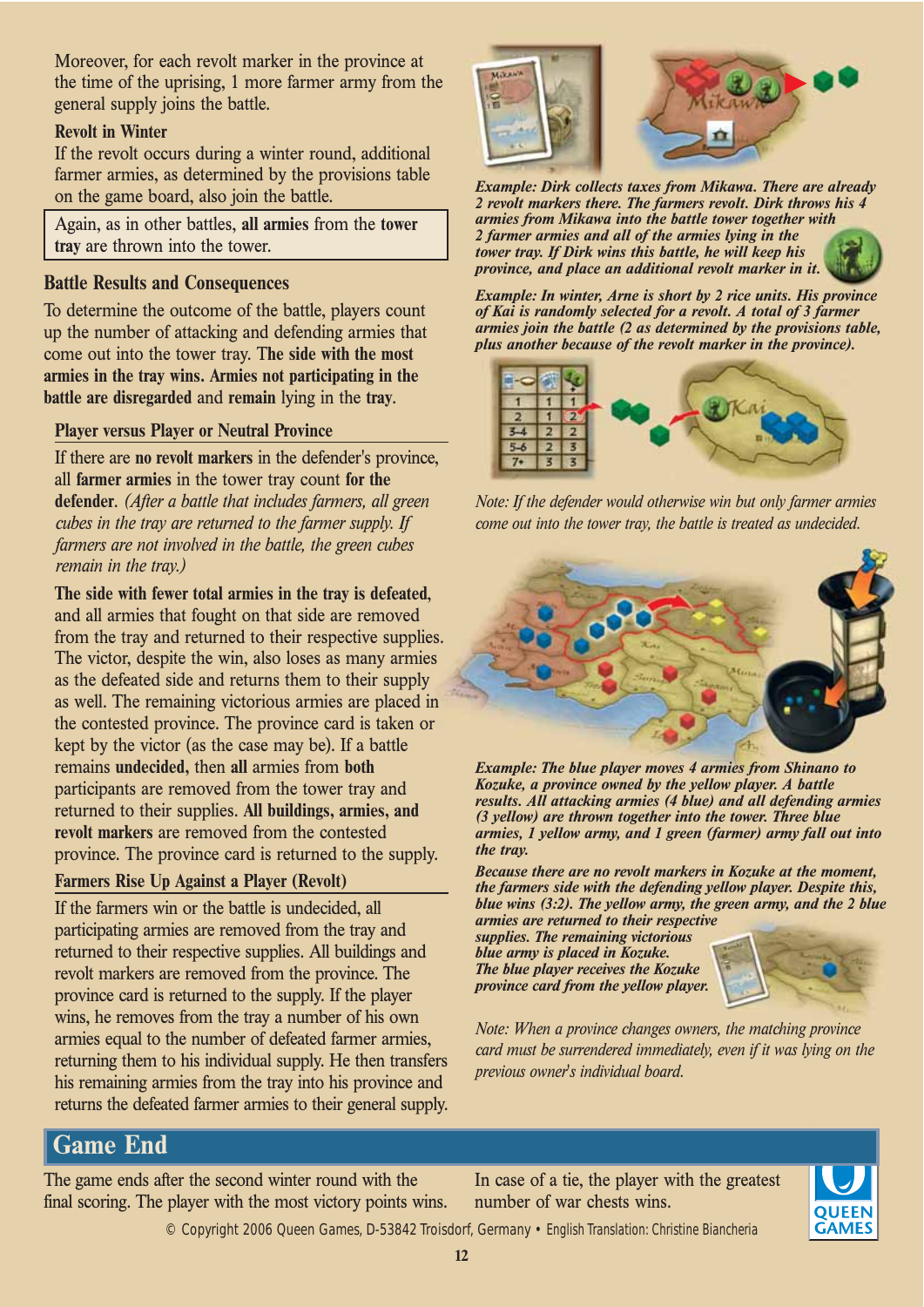Moreover, for each revolt marker in the province at the time of the uprising, 1 more farmer army from the general supply joins the battle.

## **Revolt in Winter**

If the revolt occurs during a winter round, additional farmer armies, as determined by the provisions table on the game board, also join the battle.

Again, as in other battles, **all armies** from the **tower tray** are thrown into the tower.

#### **Battle Results and Consequences**

To determine the outcome of the battle, players count up the number of attacking and defending armies that come out into the tower tray. T**he side with the most armies in the tray wins. Armies not participating in the battle are disregarded** and **remain** lying in the **tray**.

#### **Player versus Player or Neutral Province**

If there are **no revolt markers** in the defender's province, all **farmer armies** in the tower tray count **for the defender**. *(After a battle that includes farmers, all green cubes in the tray are returned to the farmer supply. If farmers are not involved in the battle, the green cubes remain in the tray.)*

**The side with fewer total armies in the tray is defeated**, and all armies that fought on that side are removed from the tray and returned to their respective supplies. The victor, despite the win, also loses as many armies as the defeated side and returns them to their supply as well. The remaining victorious armies are placed in the contested province. The province card is taken or kept by the victor (as the case may be). If a battle remains **undecided,** then **all** armies from **both**  participants are removed from the tower tray and returned to their supplies. **All buildings, armies, and revolt markers** are removed from the contested province. The province card is returned to the supply.

#### **Farmers Rise Up Against a Player (Revolt)**

If the farmers win or the battle is undecided, all participating armies are removed from the tray and returned to their respective supplies. All buildings and revolt markers are removed from the province. The province card is returned to the supply. If the player wins, he removes from the tray a number of his own armies equal to the number of defeated farmer armies, returning them to his individual supply. He then transfers his remaining armies from the tray into his province and returns the defeated farmer armies to their general supply.



*Example: Dirk collects taxes from Mikawa. There are already 2 revolt markers there. The farmers revolt. Dirk throws his 4 armies from Mikawa into the battle tower together with 2 farmer armies and all of the armies lying in the tower tray. If Dirk wins this battle, he will keep his province, and place an additional revolt marker in it.*



*Example: In winter, Arne is short by 2 rice units. His province of Kai is randomly selected for a revolt. A total of 3 farmer armies join the battle (2 as determined by the provisions table, plus another because of the revolt marker in the province).*



*Note: If the defender would otherwise win but only farmer armies come out into the tower tray, the battle is treated as undecided.*



*Example: The blue player moves 4 armies from Shinano to Kozuke, a province owned by the yellow player. A battle results. All attacking armies (4 blue) and all defending armies (3 yellow) are thrown together into the tower. Three blue armies, 1 yellow army, and 1 green (farmer) army fall out into the tray.*

*Because there are no revolt markers in Kozuke at the moment, the farmers side with the defending yellow player. Despite this, blue wins (3:2). The yellow army, the green army, and the 2 blue armies are returned to their respective* 

*supplies. The remaining victorious blue army is placed in Kozuke. The blue player receives the Kozuke province card from the yellow player.*



*Note: When a province changes owners, the matching province card must be surrendered immediately, even if it was lying on the previous owner's individual board.*

# **Game End**

The game ends after the second winter round with the final scoring. The player with the most victory points wins.

In case of a tie, the player with the greatest number of war chests wins.



© Copyright 2006 Queen Games, D-53842 Troisdorf, Germany • English Translation: Christine Biancheria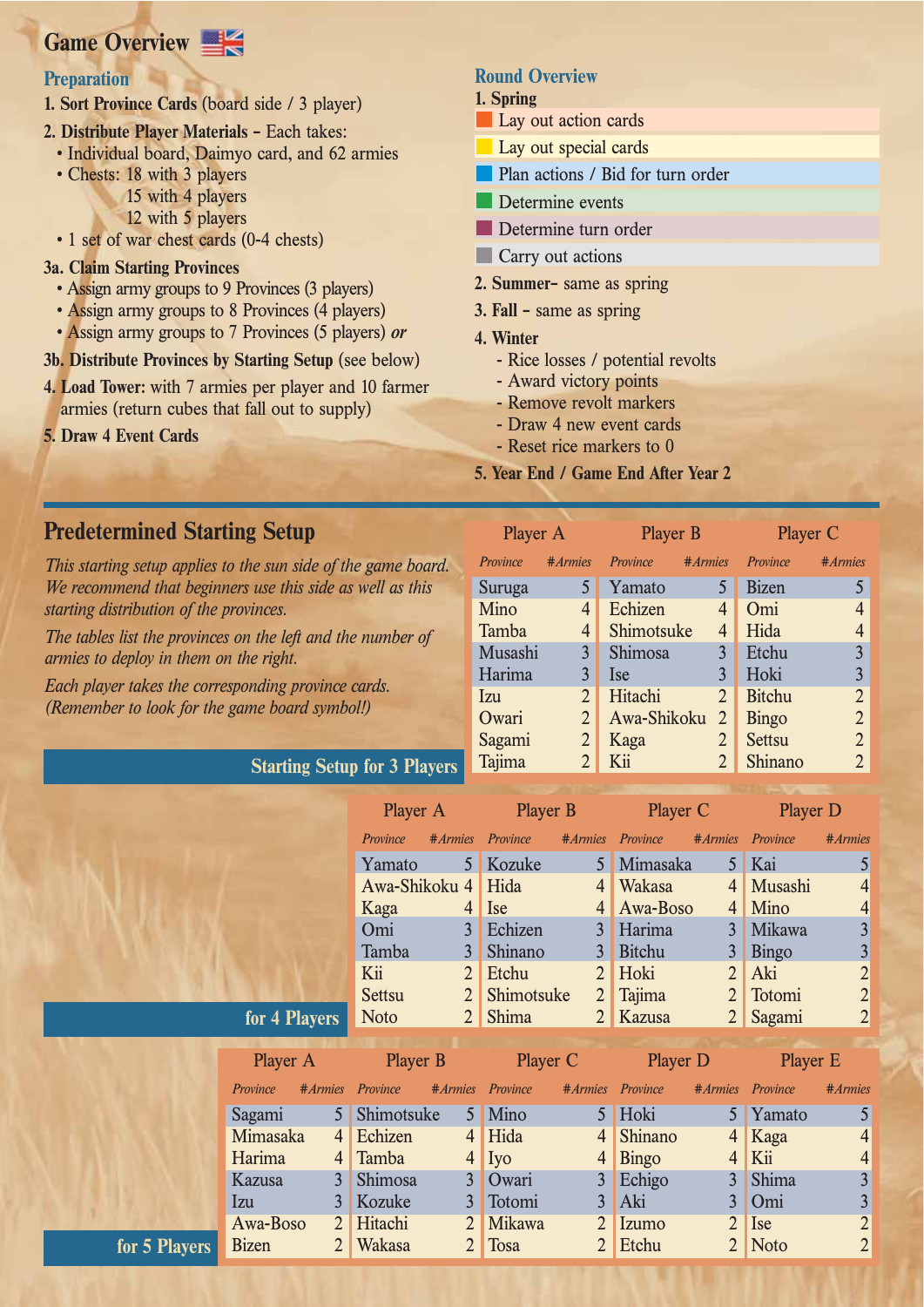# **Game Overview**

# **Preparation**

- **1. Sort Province Cards** (board side / 3 player)
- **2. Distribute Player Materials** Each takes:
	- Individual board, Daimyo card, and 62 armies
	- Chests: 18 with 3 players 15 with 4 players
		- 12 with 5 players
	- 1 set of war chest cards (0-4 chests)

#### **3a. Claim Starting Provinces**

- Assign army groups to 9 Provinces (3 players)
- Assign army groups to 8 Provinces (4 players)
- Assign army groups to 7 Provinces (5 players) *or*
- **3b. Distribute Provinces by Starting Setup** (see below)
- **4. Load Tower:** with 7 armies per player and 10 farmer armies (return cubes that fall out to supply)
- **5. Draw 4 Event Cards**

# **Round Overview**

#### **1. Spring**

- **Lay out action cards**
- Lay out special cards **I**
- Plan actions / Bid for turn order
- Determine events
- Determine turn order
- **Carry out actions**
- **2. Summer–** same as spring
- **3. Fall –** same as spring
- **4. Winter**
	- Rice losses / potential revolts
	- Award victory points
	- Remove revolt markers
	- Draw 4 new event cards
	- Reset rice markers to 0

 $P1$ 

**5. Year End / Game End After Year 2**

# **Predetermined Starting Setup**

*This starting setup applies to the sun side of the game board. We recommend that beginners use this side as well as this starting distribution of the provinces.*

*The tables list the provinces on the left and the number of armies to deploy in them on the right.*

**Starting Setup for 3 Players**

*Each player takes the corresponding province cards. (Remember to look for the game board symbol!)*

| $1$ layer $\pi$ |                | $1 \text{ layer}$ |                | $I$ layer $U$ |                |  |  |
|-----------------|----------------|-------------------|----------------|---------------|----------------|--|--|
| Province        | #Armies        | Province          | #Armies        | Province      | #Armies        |  |  |
| Suruga          | 5              | Yamato            | 5              | <b>Bizen</b>  | 5              |  |  |
| Mino            | 4              | Echizen           | 4              | Omi           | $\overline{4}$ |  |  |
| Tamba           | 4              | Shimotsuke        | 4              | Hida          | $\overline{4}$ |  |  |
| Musashi         | $\overline{3}$ | Shimosa           | 3              | Etchu         | $\overline{3}$ |  |  |
| Harima          | 3              | <b>Ise</b>        | 3              | Hoki          | $\overline{3}$ |  |  |
| Izu             | $\overline{2}$ | Hitachi           | $\overline{2}$ | <b>Bitchu</b> | $\overline{2}$ |  |  |
| Owari           | $\overline{2}$ | Awa-Shikoku       | $\overline{2}$ | <b>Bingo</b>  | $\overline{2}$ |  |  |
| Sagami          | $\overline{2}$ | Kaga              | $\overline{2}$ | <b>Settsu</b> | $\overline{2}$ |  |  |
| Tajima          | 2              | Kii               | 2              | Shinano       | $\overline{2}$ |  |  |

 $P$ 

 $\mathbf{D}$ layer C

|               |              |                | Player A        |                | <b>Player B</b> |                | Player C      |                | <b>Player D</b> |                                            |
|---------------|--------------|----------------|-----------------|----------------|-----------------|----------------|---------------|----------------|-----------------|--------------------------------------------|
|               |              |                | Province        | #Armies        | Province        | #Armies        | Province      | #Armies        | Province        | #Armies                                    |
|               |              |                | Yamato          | 5 <sup>1</sup> | Kozuke          | 5              | Mimasaka      | 5 <sup>5</sup> | Kai             | 5                                          |
|               |              |                | Awa-Shikoku 4   |                | Hida            | $\overline{4}$ | <b>Wakasa</b> | $\overline{4}$ | Musashi         | $\overline{4}$                             |
|               |              |                | Kaga            | 4              | <b>Ise</b>      | $\overline{4}$ | Awa-Boso      | $\overline{4}$ | Mino            | $\overline{4}$                             |
|               |              |                | Omi             | $\overline{3}$ | Echizen         | 3              | Harima        | 3              | Mikawa          | $\overline{3}$                             |
|               |              |                | Tamba           | 3              | Shinano         | 3              | <b>Bitchu</b> | 3              | <b>Bingo</b>    | $\overline{\mathbf{3}}$                    |
|               |              |                | Kii             | $\overline{2}$ | Etchu           | $\overline{2}$ | Hoki          | $\overline{2}$ | Aki             | $\begin{array}{c} 2 \\ 2 \\ 2 \end{array}$ |
|               |              |                | <b>Settsu</b>   | $\overline{2}$ | Shimotsuke      | $\overline{2}$ | Tajima        | $\overline{2}$ | Totomi          |                                            |
|               |              | for 4 Players  | <b>Noto</b>     | $\overline{2}$ | Shima           | $\overline{2}$ | Kazusa        | 2 <sup>2</sup> | Sagami          |                                            |
|               |              |                |                 |                |                 |                |               |                |                 |                                            |
|               | Player A     |                | <b>Player B</b> |                | Player C        |                | Player D      |                | <b>Player E</b> |                                            |
|               | Province     | #Armies        | Province        | #Armies        | Province        | #Armies        | Province      | #Armies        | Province        | #Armies                                    |
|               | Sagami       | 5 <sup>1</sup> | Shimotsuke      |                | 5 Mino          |                | 5 Hoki        | 5              | Yamato          | 5                                          |
|               | Mimasaka     | 4              | Echizen         | 4              | Hida            | 4              | Shinano       | $\overline{4}$ | Kaga            | $\overline{4}$                             |
|               | Harima       | 4              | Tamba           | 4              | Iyo             | 4              | <b>Bingo</b>  | 4              | Kii             | $\overline{4}$                             |
|               | Kazusa       | $\overline{3}$ | Shimosa         | $\overline{3}$ | Owari           | $\overline{3}$ | Echigo        | $\overline{3}$ | Shima           | $\overline{\mathbf{3}}$                    |
|               | <i>lzu</i>   | $\overline{3}$ | Kozuke          | $\overline{3}$ | Totomi          | $\overline{3}$ | Aki           | $\overline{3}$ | Omi             | $\overline{3}$                             |
|               | Awa-Boso     | $\overline{2}$ | Hitachi         |                | <b>Mikawa</b>   | $\overline{2}$ | Izumo         | $\overline{2}$ | <b>Ise</b>      | $\overline{c}$                             |
| for 5 Players | <b>Bizen</b> |                | Wakasa          |                | Tosa            | 2              | Etchu         | $\overline{2}$ | <b>Noto</b>     | $\overline{2}$                             |